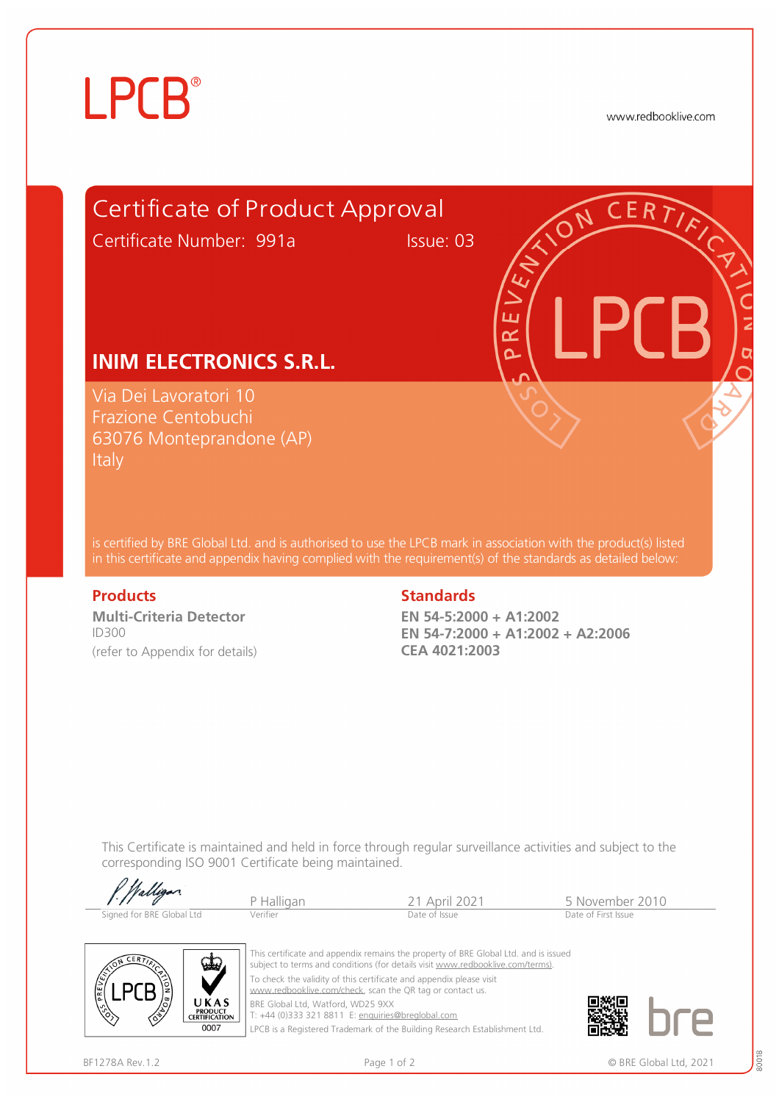# **LPCB**®

www.redbooklive.com



is certified by BRE Global Ltd. and is authorised to use the LPCB mark in association with the product(s) listed in this certificate and appendix having complied with the requirement(s) of the standards as detailed below:

**Multi-Criteria Detector**  ID300 (refer to Appendix for details)

### **Products** Standards **Standards**

**EN 54-5:2000 + A1:2002 EN 54-7:2000 + A1:2002 + A2:2006 CEA 4021:2003** 

This Certificate is maintained and held in force through regular surveillance activities and subject to the corresponding ISO 9001 Certificate being maintained.

| 1. Walligan               | Halligan | <sup>21</sup> April 2021 | ५ November 2010     |
|---------------------------|----------|--------------------------|---------------------|
| Signed for BRE Global Ltd | /erifier | Date of Issue            | Date of First Issue |



 $0111$ 

This certificate and appendix remains the property of BRE Global Ltd. and is issued subject to terms and conditions (for details visit [www.redbooklive.com/terms\)](http://www.redbooklive.com/terms)). To check the validity of this certificate and appendix please visit [www.redbooklive.com/check,](http://www.redbooklive.com/check) scan the QR tag or contact us. BRE Global Ltd, Watford, WD25 9XX

T: +44 (0)333 321 8811 E: [enquiries@breglobal.com](mailto:enquiries@breglobal.com)

LPCB is a Registered Trademark of the Building Research Establishment Ltd.